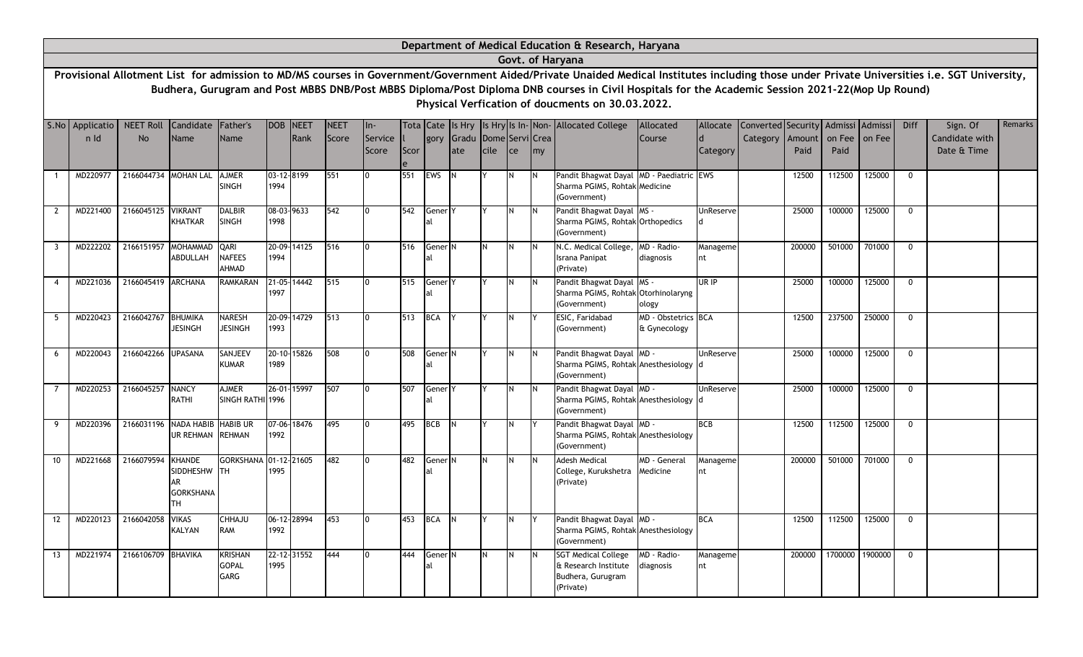|                |                 |                       |                                                                |                                        |                   |             |             |                  |      |                          |                               |          |          |    | Department of Medical Education & Research, Haryana                                                                                                                                                                                                                                                                                             |                                     |                |                                    |                |                |                 |              |                               |         |
|----------------|-----------------|-----------------------|----------------------------------------------------------------|----------------------------------------|-------------------|-------------|-------------|------------------|------|--------------------------|-------------------------------|----------|----------|----|-------------------------------------------------------------------------------------------------------------------------------------------------------------------------------------------------------------------------------------------------------------------------------------------------------------------------------------------------|-------------------------------------|----------------|------------------------------------|----------------|----------------|-----------------|--------------|-------------------------------|---------|
|                |                 |                       |                                                                |                                        |                   |             |             |                  |      |                          |                               |          |          |    | Govt. of Haryana                                                                                                                                                                                                                                                                                                                                |                                     |                |                                    |                |                |                 |              |                               |         |
|                |                 |                       |                                                                |                                        |                   |             |             |                  |      |                          |                               |          |          |    | Provisional Allotment List for admission to MD/MS courses in Government/Government Aided/Private Unaided Medical Institutes including those under Private Universities i.e. SGT University,<br>Budhera, Gurugram and Post MBBS DNB/Post MBBS Diploma/Post Diploma DNB courses in Civil Hospitals for the Academic Session 2021-22(Mop Up Round) |                                     |                |                                    |                |                |                 |              |                               |         |
|                |                 |                       |                                                                |                                        |                   |             |             |                  |      |                          |                               |          |          |    | Physical Verfication of doucments on 30.03.2022.                                                                                                                                                                                                                                                                                                |                                     |                |                                    |                |                |                 |              |                               |         |
|                | S.No Applicatio | <b>NEET Roll</b>      | Candidate Father's                                             |                                        | DOB               | <b>NEET</b> | <b>NEET</b> | $In-$            |      |                          |                               |          |          |    | Tota Cate Is Hry Is Hry Is In-Non-Allocated College                                                                                                                                                                                                                                                                                             | Allocated                           | Allocate       | Converted Security Admissi Admissi |                |                |                 | <b>Diff</b>  | Sign. Of                      | Remarks |
|                | n Id            | <b>No</b>             | Name                                                           | Name                                   |                   | Rank        | Score       | Service<br>Score | Scor | gory                     | Gradu Dome Servi Crea<br>late | cile     | ce       | my |                                                                                                                                                                                                                                                                                                                                                 | Course                              | d<br>Category  | Category                           | Amount<br>Paid | on Fee<br>Paid | on Fee          |              | Candidate with<br>Date & Time |         |
|                | MD220977        | 2166044734 MOHAN LAL  |                                                                | <b>AJMER</b><br><b>SINGH</b>           | 1994              | 03-12-8199  | 551         |                  | 551  | <b>EWS</b>               | IN.                           |          | N.       |    | Pandit Bhagwat Dayal MD - Paediatric EWS<br>Sharma PGIMS, Rohtak Medicine<br>(Government)                                                                                                                                                                                                                                                       |                                     |                |                                    | 12500          | 112500         | 125000          | $\mathbf{0}$ |                               |         |
| 2              | MD221400        | 2166045125 VIKRANT    | <b>KHATKAR</b>                                                 | <b>DALBIR</b><br><b>SINGH</b>          | 1998              | 08-03-9633  | 542         | l0               | 542  | Gener <sup>Y</sup>       |                               |          | N        |    | Pandit Bhagwat Dayal MS -<br>Sharma PGIMS, Rohtak Orthopedics<br>(Government)                                                                                                                                                                                                                                                                   |                                     | UnReserve      |                                    | 25000          | 100000         | 125000          | $\mathbf 0$  |                               |         |
| $\overline{3}$ | MD222202        | 2166151957            | <b>MOHAMMAD</b><br>ABDULLAH                                    | QARI<br>NAFEES<br>AHMAD                | 1994              | 20-09-14125 | 516         |                  | 516  | Gener <sup>N</sup><br>al |                               | N        | <b>N</b> |    | N.C. Medical College,<br>Israna Panipat<br>(Private)                                                                                                                                                                                                                                                                                            | MD - Radio-<br>diagnosis            | Manageme<br>nt |                                    | 200000         | 501000         | 701000          | $\mathbf{0}$ |                               |         |
| $\overline{4}$ | MD221036        | 2166045419 ARCHANA    |                                                                | <b>RAMKARAN</b>                        | 1997              | 21-05-14442 | 515         | l0               | 515  | Gener <sup>Y</sup><br>al |                               |          | N.       |    | Pandit Bhagwat Dayal MS -<br>Sharma PGIMS, Rohtak Otorhinolaryng<br>(Government)                                                                                                                                                                                                                                                                | ology                               | UR IP          |                                    | 25000          | 100000         | 125000          | $\mathbf 0$  |                               |         |
| -5             | MD220423        | 2166042767            | <b>BHUMIKA</b><br><b>JESINGH</b>                               | NARESH<br><b>JESINGH</b>               | 1993              | 20-09-14729 | 513         | I0               | 513  | <b>BCA</b>               |                               |          |          |    | ESIC, Faridabad<br>(Government)                                                                                                                                                                                                                                                                                                                 | MD - Obstetrics BCA<br>& Gynecology |                |                                    | 12500          | 237500         | 250000          | $\mathbf{0}$ |                               |         |
| 6              | MD220043        | 2166042266 UPASANA    |                                                                | SANJEEV<br>KUMAR                       | 1989              | 20-10-15826 | 508         |                  | 508  | Gener <sub>N</sub><br>al |                               |          | N        |    | Pandit Bhagwat Dayal MD -<br>Sharma PGIMS, Rohtak Anesthesiology<br>(Government)                                                                                                                                                                                                                                                                |                                     | UnReserve      |                                    | 25000          | 100000         | 125000          | $\mathbf{0}$ |                               |         |
| 7              | MD220253        | 2166045257            | <b>NANCY</b><br>RATHI                                          | <b>AJMER</b><br>SINGH RATHI 1996       | $26 - 01 -$       | 15997       | 507         | lo.              | 507  | Gener <sup>Y</sup><br>al |                               |          | <b>N</b> |    | Pandit Bhagwat Dayal MD -<br>Sharma PGIMS, Rohtak Anesthesiology<br>(Government)                                                                                                                                                                                                                                                                |                                     | UnReserve      |                                    | 25000          | 100000         | 125000          | $\mathbf{0}$ |                               |         |
| 9              | MD220396        | 2166031196 NADA HABIB | UR REHMAN                                                      | <b>HABIB UR</b><br><b>REHMAN</b>       | 1992              | 07-06-18476 | 495         | l0               | 495  | <b>BCB</b>               | IN.                           |          | IN.      |    | Pandit Bhagwat Dayal MD -<br>Sharma PGIMS, Rohtak Anesthesiology<br>(Government)                                                                                                                                                                                                                                                                |                                     | <b>BCB</b>     |                                    | 12500          | 112500         | 125000          | $\mathbf{0}$ |                               |         |
| 10             | MD221668        | 2166079594            | <b>KHANDE</b><br>SIDDHESHW TH<br>AR<br><b>GORKSHANA</b><br>TH. | GORKSHANA 01-12-21605                  | 1995              |             | 482         | I0               | 482  | Gener <sup>N</sup>       |                               | N        | <b>N</b> |    | Adesh Medical<br>College, Kurukshetra<br>(Private)                                                                                                                                                                                                                                                                                              | MD - General<br>Medicine            | Manageme<br>nt |                                    | 200000         | 501000         | 701000          | $\mathbf{0}$ |                               |         |
| 12             | MD220123        | 2166042058            | <b>VIKAS</b><br>KALYAN                                         | CHHAJU<br><b>RAM</b>                   | 1992              | 06-12-28994 | 453         | I0               | 453  | <b>BCA</b>               | <b>IN</b>                     |          | N        |    | Pandit Bhagwat Dayal MD -<br>Sharma PGIMS, Rohtak Anesthesiology<br>(Government)                                                                                                                                                                                                                                                                |                                     | <b>BCA</b>     |                                    | 12500          | 112500         | 125000          | $\mathbf 0$  |                               |         |
| 13             | MD221974        | 2166106709 BHAVIKA    |                                                                | <b>KRISHAN</b><br><b>GOPAL</b><br>GARG | $22 - 12$<br>1995 | 31552       | 444         | I0               | 444  | Gener <sub>N</sub><br>al |                               | <b>N</b> | IN.      |    | <b>SGT Medical College</b><br>& Research Institute<br>Budhera, Gurugram<br>(Private)                                                                                                                                                                                                                                                            | MD - Radio-<br>diagnosis            | Manageme<br>nt |                                    | 200000         |                | 1700000 1900000 | $\mathbf{0}$ |                               |         |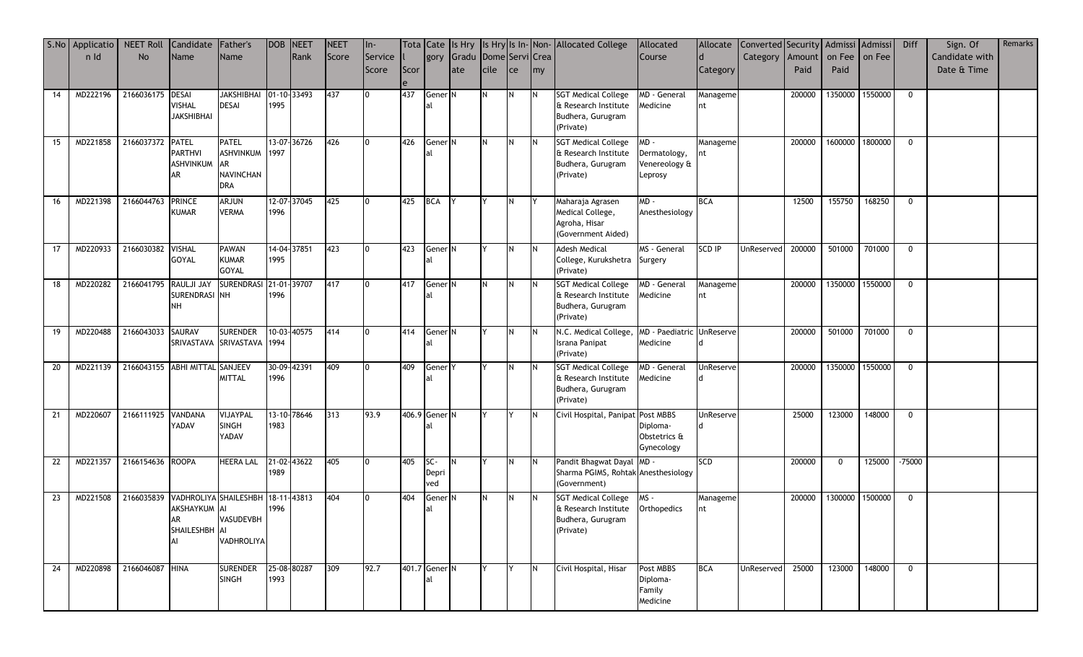|    | S.No Applicatio NEET Roll |                   | Candidate Father's                |                                        | <b>DOB NEET</b> |             | <b>NEET</b> | In-     |      |                    |                            |             |             |           | Tota Cate Is Hry Is Hry Is In-Non-Allocated College | Allocated                 |               | Allocate Converted Security Admissi Admissi |        |                 |               | <b>Diff</b>  | Sign. Of       | Remarks |
|----|---------------------------|-------------------|-----------------------------------|----------------------------------------|-----------------|-------------|-------------|---------|------|--------------------|----------------------------|-------------|-------------|-----------|-----------------------------------------------------|---------------------------|---------------|---------------------------------------------|--------|-----------------|---------------|--------------|----------------|---------|
|    | n Id                      | <b>No</b>         | Name                              | Name                                   |                 | Rank        | Score       | Service |      |                    | gory Gradu Dome Servi Crea |             |             |           |                                                     | Course                    |               | Category   Amount   on Fee   on Fee         |        |                 |               |              | Candidate with |         |
|    |                           |                   |                                   |                                        |                 |             |             | Score   | Scor |                    | ate                        | <b>cile</b> | <b>I</b> ce | <b>my</b> |                                                     |                           | Category      |                                             | Paid   | Paid            |               |              | Date & Time    |         |
|    |                           |                   |                                   |                                        |                 |             |             |         |      |                    |                            |             |             |           |                                                     |                           |               |                                             |        |                 |               |              |                |         |
| 14 | MD222196                  | 2166036175 DESAI  | <b>VISHAL</b>                     | JAKSHIBHAI 01-10-33493<br><b>DESAI</b> | 1995            |             | 437         |         | 437  | Gener <sub>N</sub> |                            | IN.         | IN.         | IN.       | <b>SGT Medical College</b><br>& Research Institute  | MD - General<br>Medicine  | Manageme      |                                             | 200000 | 1350000         | 1550000       | $\mathbf 0$  |                |         |
|    |                           |                   | <b>JAKSHIBHAI</b>                 |                                        |                 |             |             |         |      |                    |                            |             |             |           | Budhera, Gurugram                                   |                           | nt            |                                             |        |                 |               |              |                |         |
|    |                           |                   |                                   |                                        |                 |             |             |         |      |                    |                            |             |             |           | (Private)                                           |                           |               |                                             |        |                 |               |              |                |         |
| 15 | MD221858                  | 2166037372        | <b>PATEL</b>                      | <b>PATEL</b>                           |                 | 13-07-36726 | 426         | 0       | 426  | Gener N            |                            | IN.         |             | IN.       | <b>SGT Medical College</b>                          | MD-                       | Manageme      |                                             | 200000 | 1600000         | 1800000       | $\mathbf 0$  |                |         |
|    |                           |                   | <b>PARTHVI</b>                    | ASHVINKUM 1997                         |                 |             |             |         |      |                    |                            |             |             |           | & Research Institute                                | Dermatology,              |               |                                             |        |                 |               |              |                |         |
|    |                           |                   | ASHVINKUM AR                      |                                        |                 |             |             |         |      |                    |                            |             |             |           | Budhera, Gurugram                                   | Venereology &             |               |                                             |        |                 |               |              |                |         |
|    |                           |                   | AR                                | <b>NAVINCHAN</b><br><b>DRA</b>         |                 |             |             |         |      |                    |                            |             |             |           | (Private)                                           | Leprosy                   |               |                                             |        |                 |               |              |                |         |
|    |                           |                   |                                   |                                        |                 |             |             |         |      |                    |                            |             |             |           |                                                     |                           |               |                                             |        |                 |               |              |                |         |
| 16 | MD221398                  | 2166044763        | <b>PRINCE</b><br><b>KUMAR</b>     | <b>ARJUN</b><br><b>VERMA</b>           | 1996            | 12-07-37045 | 425         |         | 425  | <b>BCA</b>         |                            |             |             |           | Maharaja Agrasen<br>Medical College,                | MD-<br>Anesthesiology     | <b>BCA</b>    |                                             | 12500  | 155750          | 168250        | $\mathbf{0}$ |                |         |
|    |                           |                   |                                   |                                        |                 |             |             |         |      |                    |                            |             |             |           | Agroha, Hisar                                       |                           |               |                                             |        |                 |               |              |                |         |
|    |                           |                   |                                   |                                        |                 |             |             |         |      |                    |                            |             |             |           | (Government Aided)                                  |                           |               |                                             |        |                 |               |              |                |         |
| 17 | MD220933                  | 2166030382 VISHAL |                                   | <b>PAWAN</b>                           |                 | 14-04-37851 | 423         | 0       | 423  | Gener N            |                            |             | IN.         | IN.       | <b>Adesh Medical</b>                                | MS - General              | <b>SCD IP</b> | UnReserved                                  | 200000 | 501000          | 701000        | $\Omega$     |                |         |
|    |                           |                   | GOYAL                             | <b>KUMAR</b>                           | 1995            |             |             |         |      |                    |                            |             |             |           | College, Kurukshetra                                | Surgery                   |               |                                             |        |                 |               |              |                |         |
|    |                           |                   |                                   | GOYAL                                  |                 |             |             |         |      |                    |                            |             |             |           | (Private)                                           |                           |               |                                             |        |                 |               |              |                |         |
| 18 | MD220282                  | 2166041795        | RAULJI JAY                        | SURENDRASI 21-01-39707                 |                 |             | 417         |         | 417  | Gener <sup>N</sup> |                            |             |             |           | <b>SGT Medical College</b><br>& Research Institute  | MD - General              | Manageme      |                                             | 200000 | 1350000 1550000 |               | $\mathbf 0$  |                |         |
|    |                           |                   | SURENDRASI NH<br>NH               |                                        | 1996            |             |             |         |      |                    |                            |             |             |           | Budhera, Gurugram                                   | Medicine                  | nt            |                                             |        |                 |               |              |                |         |
|    |                           |                   |                                   |                                        |                 |             |             |         |      |                    |                            |             |             |           | (Private)                                           |                           |               |                                             |        |                 |               |              |                |         |
| 19 | MD220488                  | 2166043033 SAURAV |                                   | <b>SURENDER</b>                        |                 | 10-03-40575 | 414         |         | 414  | Gener <sup>N</sup> |                            |             |             | IN.       | N.C. Medical College,                               | MD - Paediatric UnReserve |               |                                             | 200000 | 501000          | 701000        | $\mathbf 0$  |                |         |
|    |                           |                   |                                   | SRIVASTAVA SRIVASTAVA 1994             |                 |             |             |         |      |                    |                            |             |             |           | <b>Israna Panipat</b>                               | Medicine                  |               |                                             |        |                 |               |              |                |         |
|    |                           |                   |                                   |                                        |                 |             |             |         |      |                    |                            |             |             |           | (Private)                                           |                           |               |                                             |        |                 |               |              |                |         |
| 20 | MD221139                  |                   | 2166043155 ABHI MITTAL SANJEEV    |                                        |                 | 30-09-42391 | 409         |         | 409  | Gener <sub>Y</sub> |                            |             |             |           | <b>SGT Medical College</b>                          | MD - General              | UnReserve     |                                             | 200000 | 1350000         | 1550000       | $\mathbf{0}$ |                |         |
|    |                           |                   |                                   | <b>MITTAL</b>                          | 1996            |             |             |         |      |                    |                            |             |             |           | & Research Institute<br>Budhera, Gurugram           | Medicine                  |               |                                             |        |                 |               |              |                |         |
|    |                           |                   |                                   |                                        |                 |             |             |         |      |                    |                            |             |             |           | (Private)                                           |                           |               |                                             |        |                 |               |              |                |         |
| 21 | MD220607                  | 2166111925        | <b>VANDANA</b>                    | VIJAYPAL                               |                 | 13-10-78646 | 313         | 93.9    |      | 406.9 Gener N      |                            |             |             | IN.       | Civil Hospital, Panipat Post MBBS                   |                           | UnReserve     |                                             | 25000  | 123000          | 148000        | $\mathbf{0}$ |                |         |
|    |                           |                   | YADAV                             | SINGH                                  | 1983            |             |             |         |      |                    |                            |             |             |           |                                                     | Diploma-                  |               |                                             |        |                 |               |              |                |         |
|    |                           |                   |                                   | YADAV                                  |                 |             |             |         |      |                    |                            |             |             |           |                                                     | Obstetrics &              |               |                                             |        |                 |               |              |                |         |
|    |                           |                   |                                   |                                        |                 |             |             |         |      |                    |                            |             |             |           |                                                     | Gynecology                |               |                                             |        |                 |               |              |                |         |
| 22 | MD221357                  | 2166154636 ROOPA  |                                   | <b>HEERA LAL</b>                       | 1989            | 21-02-43622 | 405         |         | 405  | SC-                | N                          |             | IN.         | <b>IN</b> | Pandit Bhagwat Dayal MD -                           |                           | <b>SCD</b>    |                                             | 200000 | $\mathbf 0$     | 125000 -75000 |              |                |         |
|    |                           |                   |                                   |                                        |                 |             |             |         |      | Depri<br>ved       |                            |             |             |           | Sharma PGIMS, Rohtak Anesthesiology<br>(Government) |                           |               |                                             |        |                 |               |              |                |         |
| 23 | MD221508                  | 2166035839        | VADHROLIYA SHAILESHBH 18-11-43813 |                                        |                 |             | 404         |         | 404  | Gener <sup>N</sup> |                            |             |             |           | <b>SGT Medical College</b>                          | MS-                       | Manageme      |                                             | 200000 | 1300000 1500000 |               | $\mathbf 0$  |                |         |
|    |                           |                   | AKSHAYKUM AI                      |                                        | 1996            |             |             |         |      |                    |                            |             |             |           | & Research Institute                                | Orthopedics               | nt            |                                             |        |                 |               |              |                |         |
|    |                           |                   | AR                                | <b>VASUDEVBH</b>                       |                 |             |             |         |      |                    |                            |             |             |           | Budhera, Gurugram                                   |                           |               |                                             |        |                 |               |              |                |         |
|    |                           |                   | SHAILESHBH AI<br>ΔI               |                                        |                 |             |             |         |      |                    |                            |             |             |           | (Private)                                           |                           |               |                                             |        |                 |               |              |                |         |
|    |                           |                   |                                   | VADHROLIYA                             |                 |             |             |         |      |                    |                            |             |             |           |                                                     |                           |               |                                             |        |                 |               |              |                |         |
| 24 | MD220898                  | 2166046087 HINA   |                                   | <b>SURENDER</b>                        |                 | 25-08-80287 | 309         | 92.7    |      | 401.7 Gener N      |                            |             |             | IN.       | Civil Hospital, Hisar                               | Post MBBS                 | <b>BCA</b>    | UnReserved                                  | 25000  | 123000          | 148000        | $\mathbf{0}$ |                |         |
|    |                           |                   |                                   | <b>SINGH</b>                           | 1993            |             |             |         |      | lal                |                            |             |             |           |                                                     | Diploma-                  |               |                                             |        |                 |               |              |                |         |
|    |                           |                   |                                   |                                        |                 |             |             |         |      |                    |                            |             |             |           |                                                     | Family                    |               |                                             |        |                 |               |              |                |         |
|    |                           |                   |                                   |                                        |                 |             |             |         |      |                    |                            |             |             |           |                                                     | Medicine                  |               |                                             |        |                 |               |              |                |         |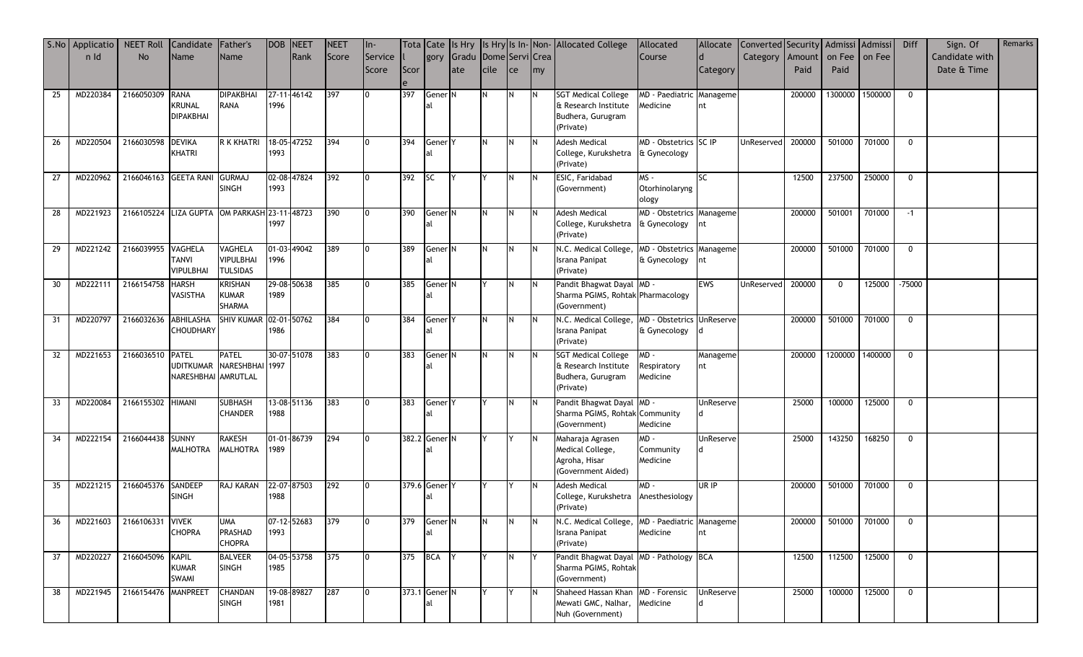|    | S.No Applicatio | <b>NEET Roll</b>                             | Candidate Father's  |                                    | <b>DOB NEET</b> |                 | <b>NEET</b> | ln-            |      |                    |                            |      |             |     | Tota Cate Is Hry Is Hry Is In-Non-Allocated College               | Allocated                                |                  | Allocate Converted Security   Admissi   Admissi |        |                      |               | Diff         | Sign. Of       | Remarks |
|----|-----------------|----------------------------------------------|---------------------|------------------------------------|-----------------|-----------------|-------------|----------------|------|--------------------|----------------------------|------|-------------|-----|-------------------------------------------------------------------|------------------------------------------|------------------|-------------------------------------------------|--------|----------------------|---------------|--------------|----------------|---------|
|    | n Id            | <b>No</b>                                    | Name                | Name                               |                 | Rank            | Score       | Service        |      |                    | gory Gradu Dome Servi Crea |      |             |     |                                                                   | Course                                   |                  | Category   Amount   on Fee   on Fee             |        |                      |               |              | Candidate with |         |
|    |                 |                                              |                     |                                    |                 |                 |             | Score          | Scor |                    | late                       | cile | <b>I</b> ce | my  |                                                                   |                                          | Category         |                                                 | Paid   | Paid                 |               |              | Date & Time    |         |
|    |                 |                                              |                     |                                    |                 |                 |             |                |      |                    |                            |      |             |     |                                                                   |                                          |                  |                                                 |        |                      |               |              |                |         |
| 25 | MD220384        | 2166050309                                   | <b>RANA</b>         | <b>DIPAKBHAI</b>                   |                 | 27-11-46142     | 397         | I0             | 397  | Gener N            |                            | IN.  |             |     | <b>SGT Medical College</b>                                        | MD - Paediatric Manageme                 |                  |                                                 | 200000 | 1300000              | 1500000       | $\mathbf{0}$ |                |         |
|    |                 |                                              | <b>KRUNAL</b>       | <b>RANA</b>                        | 1996            |                 |             |                |      |                    |                            |      |             |     | & Research Institute                                              | Medicine                                 | nt               |                                                 |        |                      |               |              |                |         |
|    |                 |                                              | <b>DIPAKBHAI</b>    |                                    |                 |                 |             |                |      |                    |                            |      |             |     | Budhera, Gurugram                                                 |                                          |                  |                                                 |        |                      |               |              |                |         |
|    |                 |                                              |                     |                                    |                 |                 |             |                |      |                    |                            |      |             |     | (Private)                                                         |                                          |                  |                                                 |        |                      |               |              |                |         |
| 26 | MD220504        | 2166030598                                   | <b>DEVIKA</b>       | R K KHATRI                         |                 | 18-05-47252     | 394         |                | 394  | Gener <sup>Y</sup> |                            |      |             |     | <b>Adesh Medical</b>                                              | MD - Obstetrics SC IP                    |                  | UnReserved                                      | 200000 | 501000               | 701000        | $\mathbf 0$  |                |         |
|    |                 |                                              | KHATRI              |                                    | 1993            |                 |             |                |      | al                 |                            |      |             |     | College, Kurukshetra & Gynecology                                 |                                          |                  |                                                 |        |                      |               |              |                |         |
|    |                 |                                              |                     |                                    |                 |                 |             |                |      |                    |                            |      |             |     | (Private)                                                         |                                          |                  |                                                 |        |                      |               |              |                |         |
| 27 | MD220962        | 2166046163 GEETA RANI                        |                     | <b>GURMAJ</b>                      |                 | 02-08-47824     | 392         | I0             | 392  | <b>SC</b>          | IY.                        |      |             |     | ESIC, Faridabad                                                   | MS -                                     | SC               |                                                 | 12500  | 237500               | 250000        | $\mathbf 0$  |                |         |
|    |                 |                                              |                     | <b>SINGH</b>                       | 1993            |                 |             |                |      |                    |                            |      |             |     | (Government)                                                      | Otorhinolaryng                           |                  |                                                 |        |                      |               |              |                |         |
|    |                 |                                              |                     |                                    |                 |                 |             |                |      |                    |                            |      |             |     |                                                                   | ology                                    |                  |                                                 |        |                      |               |              |                |         |
| 28 | MD221923        | 2166105224 LIZA GUPTA OM PARKASH 23-11-48723 |                     |                                    |                 |                 | 390         |                | 390  | Gener <sup>N</sup> |                            |      |             |     | <b>Adesh Medical</b>                                              | MD - Obstetrics Manageme                 |                  |                                                 | 200000 | 501001               | 701000        | $-1$         |                |         |
|    |                 |                                              |                     |                                    | 1997            |                 |             |                |      |                    |                            |      |             |     | College, Kurukshetra                                              | & Gynecology                             |                  |                                                 |        |                      |               |              |                |         |
|    |                 |                                              |                     |                                    |                 |                 |             |                |      |                    |                            |      |             |     | (Private)                                                         |                                          |                  |                                                 |        |                      |               |              |                |         |
| 29 | MD221242        | 2166039955 VAGHELA                           | TANVI               | <b>VAGHELA</b><br><b>VIPULBHAI</b> | 1996            | 01-03-49042     | 389         |                | 389  | Gener <sup>N</sup> |                            |      |             | IN. | N.C. Medical College,<br>Israna Panipat                           | MD - Obstetrics Manageme<br>& Gynecology |                  |                                                 | 200000 | 501000               | 701000        | $\mathbf{0}$ |                |         |
|    |                 |                                              | <b>VIPULBHAI</b>    | <b>TULSIDAS</b>                    |                 |                 |             |                |      |                    |                            |      |             |     | (Private)                                                         |                                          |                  |                                                 |        |                      |               |              |                |         |
| 30 | MD222111        | 2166154758                                   | <b>HARSH</b>        | <b>KRISHAN</b>                     |                 | 29-08-50638     | 385         |                | 385  | Gener <sup>N</sup> |                            |      |             |     | Pandit Bhagwat Dayal MD -                                         |                                          | <b>EWS</b>       | UnReserved                                      | 200000 | $\Omega$             | 125000        | $-75000$     |                |         |
|    |                 |                                              | VASISTHA            | KUMAR                              | 1989            |                 |             |                |      | al                 |                            |      |             |     | Sharma PGIMS, Rohtak Pharmacology                                 |                                          |                  |                                                 |        |                      |               |              |                |         |
|    |                 |                                              |                     | <b>SHARMA</b>                      |                 |                 |             |                |      |                    |                            |      |             |     | (Government)                                                      |                                          |                  |                                                 |        |                      |               |              |                |         |
| 31 | MD220797        | 2166032636                                   | ABHILASHA           | SHIV KUMAR 02-01-50762             |                 |                 | 384         |                | 384  | Gener <sub>Y</sub> |                            |      |             |     | N.C. Medical College, MD - Obstetrics UnReserve                   |                                          |                  |                                                 | 200000 | 501000               | 701000        | $\mathbf 0$  |                |         |
|    |                 |                                              | CHOUDHARY           |                                    | 1986            |                 |             |                |      | al                 |                            |      |             |     | Israna Panipat                                                    | & Gynecology                             |                  |                                                 |        |                      |               |              |                |         |
|    |                 |                                              |                     |                                    |                 |                 |             |                |      |                    |                            |      |             |     | (Private)                                                         |                                          |                  |                                                 |        |                      |               |              |                |         |
| 32 | MD221653        | 2166036510                                   | <b>PATEL</b>        | <b>PATEL</b>                       |                 | 30-07-51078     | 383         |                | 383  | Gener <sup>N</sup> |                            |      |             |     | <b>SGT Medical College</b>                                        | MD-                                      | Manageme         |                                                 | 200000 | 1200000              | 1400000       | $\mathbf{0}$ |                |         |
|    |                 |                                              |                     | UDITKUMAR NARESHBHAI 1997          |                 |                 |             |                |      | al                 |                            |      |             |     | & Research Institute                                              | Respiratory                              | nt               |                                                 |        |                      |               |              |                |         |
|    |                 |                                              | NARESHBHAI AMRUTLAL |                                    |                 |                 |             |                |      |                    |                            |      |             |     | Budhera, Gurugram                                                 | Medicine                                 |                  |                                                 |        |                      |               |              |                |         |
|    |                 |                                              |                     |                                    |                 |                 |             |                |      |                    |                            |      |             |     | (Private)                                                         |                                          |                  |                                                 |        |                      |               |              |                |         |
| 33 | MD220084        | 2166155302 HIMANI                            |                     | <b>SUBHASH</b>                     |                 | 13-08-51136     | 383         | I0             | 383  | Gener <sup>Y</sup> |                            |      |             |     | Pandit Bhagwat Dayal MD -                                         |                                          | <b>UnReserve</b> |                                                 | 25000  | 100000               | 125000        | $\mathbf{0}$ |                |         |
|    |                 |                                              |                     | <b>CHANDER</b>                     | 1988            |                 |             |                |      |                    |                            |      |             |     | Sharma PGIMS, Rohtak Community                                    |                                          |                  |                                                 |        |                      |               |              |                |         |
|    |                 |                                              |                     |                                    |                 |                 |             |                |      |                    |                            |      |             |     | (Government)                                                      | Medicine                                 |                  |                                                 |        |                      |               |              |                |         |
| 34 | MD222154        | 2166044438 SUNNY                             |                     | <b>RAKESH</b>                      |                 | 01-01-86739     | 294         | I0             |      | 382.2 Gener N      |                            |      |             |     | Maharaja Agrasen                                                  | MD-                                      | UnReserve        |                                                 | 25000  | 143250               | 168250        | $\mathbf 0$  |                |         |
|    |                 |                                              | <b>MALHOTRA</b>     | <b>MALHOTRA</b>                    | 1989            |                 |             |                |      | 'al                |                            |      |             |     | Medical College,                                                  | Community                                |                  |                                                 |        |                      |               |              |                |         |
|    |                 |                                              |                     |                                    |                 |                 |             |                |      |                    |                            |      |             |     | Agroha, Hisar<br>(Government Aided)                               | Medicine                                 |                  |                                                 |        |                      |               |              |                |         |
|    |                 |                                              |                     |                                    |                 |                 |             |                |      |                    |                            |      |             |     |                                                                   |                                          |                  |                                                 |        |                      |               |              |                |         |
| 35 | MD221215        | 2166045376                                   | SANDEEP             | RAJ KARAN                          |                 | 22-07-87503     | 292         |                |      | 379.6 Gener Y      |                            |      |             |     | <b>Adesh Medical</b>                                              | $MD -$                                   | UR IP            |                                                 | 200000 | 501000               | 701000        | $\mathbf 0$  |                |         |
|    |                 |                                              | <b>SINGH</b>        |                                    | 1988            |                 |             |                |      | al                 |                            |      |             |     | College, Kurukshetra<br>(Private)                                 | Anesthesiology                           |                  |                                                 |        |                      |               |              |                |         |
| 36 |                 | MD221603 2166106331 VIVEK                    |                     |                                    |                 |                 |             |                |      |                    |                            |      |             |     |                                                                   |                                          |                  |                                                 |        |                      |               |              |                |         |
|    |                 |                                              | <b>CHOPRA</b>       | UMA<br><b>PRASHAD</b>              | 1993            | 07-12-52683     | <b>1379</b> |                | 379  | Gener N<br>al      |                            |      |             |     | N.C. Medical College, IMD - Paediatric Manageme<br>Israna Panipat | Medicine                                 | Int              |                                                 |        | 200000 501000 701000 |               | $\mathbf{0}$ |                |         |
|    |                 |                                              |                     | <b>CHOPRA</b>                      |                 |                 |             |                |      |                    |                            |      |             |     | (Private)                                                         |                                          |                  |                                                 |        |                      |               |              |                |         |
| 37 | MD220227        | 2166045096 KAPIL                             |                     | <b>BALVEER</b>                     |                 | 04-05-53758 375 |             | $\mathbf{I}$ 0 |      | 375 BCA Y          |                            |      |             |     | Pandit Bhagwat Dayal MD - Pathology BCA                           |                                          |                  |                                                 | 12500  |                      | 112500 125000 | $\mathbf{0}$ |                |         |
|    |                 |                                              | KUMAR               | <b>SINGH</b>                       | 1985            |                 |             |                |      |                    |                            |      |             |     | Sharma PGIMS, Rohtak                                              |                                          |                  |                                                 |        |                      |               |              |                |         |
|    |                 |                                              | <b>SWAMI</b>        |                                    |                 |                 |             |                |      |                    |                            |      |             |     | (Government)                                                      |                                          |                  |                                                 |        |                      |               |              |                |         |
| 38 | MD221945        | 2166154476 MANPREET                          |                     | <b>CHANDAN</b>                     |                 | 19-08-89827     | 287         |                |      | 373.1 Gener N      |                            |      |             |     | Shaheed Hassan Khan MD - Forensic                                 |                                          | <b>UnReserve</b> |                                                 | 25000  | 100000               | 125000        | $\mathbf{0}$ |                |         |
|    |                 |                                              |                     | <b>SINGH</b>                       | 1981            |                 |             |                |      | lal                |                            |      |             |     | Mewati GMC, Nalhar, Medicine                                      |                                          |                  |                                                 |        |                      |               |              |                |         |
|    |                 |                                              |                     |                                    |                 |                 |             |                |      |                    |                            |      |             |     | Nuh (Government)                                                  |                                          |                  |                                                 |        |                      |               |              |                |         |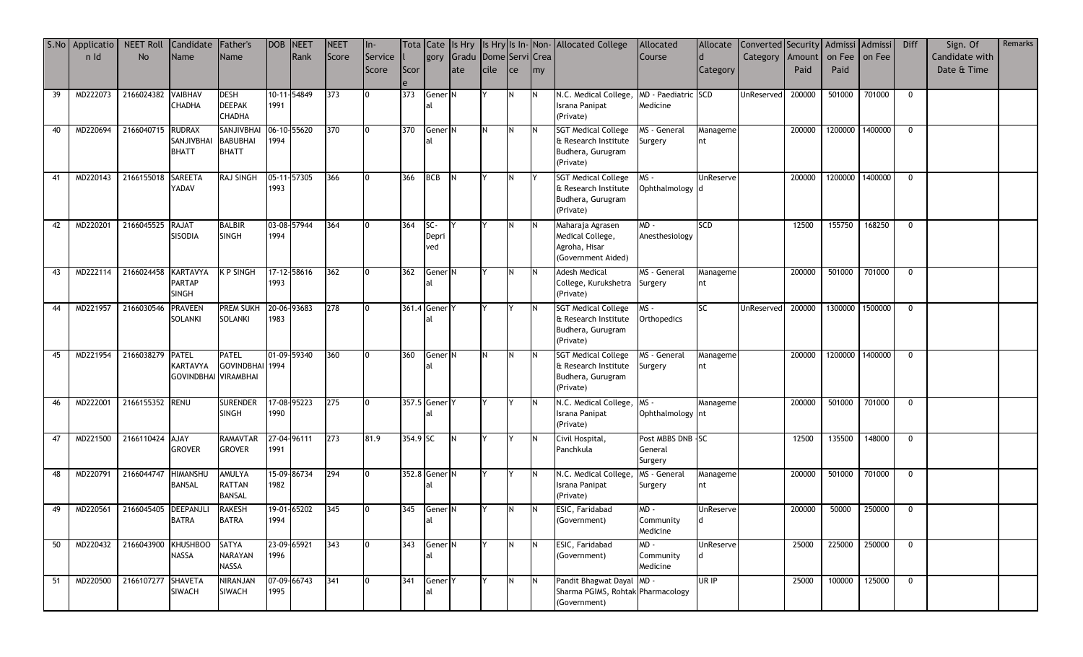|    | S.No Applicatio | <b>NEET Roll</b>     | Candidate Father's               |                               | DOB NEET |             | NEET  | In-        |          |                    |                            |               |          |           | Tota Cate Is Hry Is Hry Is In-Non-Allocated College | Allocated          |                  | Allocate Converted Security Admissi Admissi |        |        |                 | Diff         | Sign. Of       | Remarks |
|----|-----------------|----------------------|----------------------------------|-------------------------------|----------|-------------|-------|------------|----------|--------------------|----------------------------|---------------|----------|-----------|-----------------------------------------------------|--------------------|------------------|---------------------------------------------|--------|--------|-----------------|--------------|----------------|---------|
|    | n Id            | No                   | Name                             | Name                          |          | Rank        | Score | Service II |          |                    | gory Gradu Dome Servi Crea |               |          |           |                                                     | Course             |                  | Category   Amount   on Fee   on Fee         |        |        |                 |              | Candidate with |         |
|    |                 |                      |                                  |                               |          |             |       | Score      | Scor     |                    | ate                        | <b>I</b> cile | ce       | <b>my</b> |                                                     |                    | Category         |                                             | Paid   | Paid   |                 |              | Date & Time    |         |
|    |                 |                      |                                  |                               |          |             |       |            |          |                    |                            |               |          |           |                                                     |                    |                  |                                             |        |        |                 |              |                |         |
| 39 | MD222073        | 2166024382 VAIBHAV   |                                  | <b>DESH</b>                   |          | 10-11-54849 | 373   |            | 373      | Gener <sup>N</sup> |                            |               |          | IN.       | N.C. Medical College, MD - Paediatric SCD           |                    |                  | UnReserved                                  | 200000 | 501000 | 701000          | $\mathbf 0$  |                |         |
|    |                 |                      | <b>CHADHA</b>                    | <b>DEEPAK</b>                 | 1991     |             |       |            |          |                    |                            |               |          |           | Israna Panipat                                      | Medicine           |                  |                                             |        |        |                 |              |                |         |
|    |                 |                      |                                  | <b>CHADHA</b>                 |          |             |       |            |          |                    |                            |               |          |           | (Private)                                           |                    |                  |                                             |        |        |                 |              |                |         |
| 40 | MD220694        | 2166040715           | <b>RUDRAX</b>                    | SANJIVBHAI                    |          | 06-10-55620 | 370   | 0          | 370      | Gener <sup>N</sup> |                            |               | IN.      | IN.       | <b>SGT Medical College</b>                          | MS - General       | Manageme         |                                             | 200000 |        | 1200000 1400000 | $\mathbf 0$  |                |         |
|    |                 |                      | SANJIVBHAI                       | <b>BABUBHAI</b>               | 1994     |             |       |            |          |                    |                            |               |          |           | & Research Institute                                | Surgery            | nt               |                                             |        |        |                 |              |                |         |
|    |                 |                      | <b>BHATT</b>                     | <b>BHATT</b>                  |          |             |       |            |          |                    |                            |               |          |           | Budhera, Gurugram                                   |                    |                  |                                             |        |        |                 |              |                |         |
|    |                 |                      |                                  |                               |          |             |       |            |          |                    |                            |               |          |           | (Private)                                           |                    |                  |                                             |        |        |                 |              |                |         |
| 41 | MD220143        | 2166155018           | <b>SAREETA</b>                   | <b>RAJ SINGH</b>              |          | 05-11-57305 | 366   |            | 366      | <b>BCB</b>         | <b>IN</b>                  |               |          |           | <b>SGT Medical College</b>                          | MS -               | UnReserve        |                                             | 200000 |        | 1200000 1400000 | $\mathbf{0}$ |                |         |
|    |                 |                      | YADAV                            |                               | 1993     |             |       |            |          |                    |                            |               |          |           | & Research Institute                                | Ophthalmology d    |                  |                                             |        |        |                 |              |                |         |
|    |                 |                      |                                  |                               |          |             |       |            |          |                    |                            |               |          |           | Budhera, Gurugram                                   |                    |                  |                                             |        |        |                 |              |                |         |
|    |                 |                      |                                  |                               |          |             |       |            |          |                    |                            |               |          |           | (Private)                                           |                    |                  |                                             |        |        |                 |              |                |         |
| 42 | MD220201        | 2166045525 RAJAT     |                                  | <b>BALBIR</b>                 |          | 03-08-57944 | 364   |            | 364      | SC-                |                            |               | IN.      | IN.       | Maharaja Agrasen                                    | - QW               | SCD              |                                             | 12500  | 155750 | 168250          | $\mathbf{0}$ |                |         |
|    |                 |                      | SISODIA                          | <b>SINGH</b>                  | 1994     |             |       |            |          | Depri              |                            |               |          |           | Medical College,                                    | Anesthesiology     |                  |                                             |        |        |                 |              |                |         |
|    |                 |                      |                                  |                               |          |             |       |            |          | ved                |                            |               |          |           | Agroha, Hisar                                       |                    |                  |                                             |        |        |                 |              |                |         |
|    |                 |                      |                                  |                               |          |             |       |            |          |                    |                            |               |          |           | (Government Aided)                                  |                    |                  |                                             |        |        |                 |              |                |         |
| 43 | MD222114        | 2166024458           | KARTAVYA                         | <b>K P SINGH</b>              |          | 17-12-58616 | 362   |            | 362      | Gener N            |                            |               |          | IN.       | <b>Adesh Medical</b>                                | MS - General       | Manageme         |                                             | 200000 | 501000 | 701000          | $\mathbf 0$  |                |         |
|    |                 |                      | PARTAP                           |                               | 1993     |             |       |            |          | lal.               |                            |               |          |           | College, Kurukshetra                                | Surgery            | nt               |                                             |        |        |                 |              |                |         |
|    |                 |                      | <b>SINGH</b>                     |                               |          |             |       |            |          |                    |                            |               |          |           | (Private)                                           |                    |                  |                                             |        |        |                 |              |                |         |
| 44 | MD221957        | 2166030546           | <b>PRAVEEN</b>                   | <b>PREM SUKH</b>              |          | 20-06-93683 | 278   |            |          | 361.4 Gener Y      |                            |               |          |           | <b>SGT Medical College</b>                          | MS -               | SC               | UnReserved                                  | 200000 |        | 1300000 1500000 | $\mathbf 0$  |                |         |
|    |                 |                      | <b>SOLANKI</b>                   | <b>SOLANKI</b>                | 1983     |             |       |            |          |                    |                            |               |          |           | & Research Institute                                | Orthopedics        |                  |                                             |        |        |                 |              |                |         |
|    |                 |                      |                                  |                               |          |             |       |            |          |                    |                            |               |          |           | Budhera, Gurugram                                   |                    |                  |                                             |        |        |                 |              |                |         |
|    |                 |                      |                                  |                               |          |             |       |            |          |                    |                            |               |          |           | (Private)                                           |                    |                  |                                             |        |        |                 |              |                |         |
| 45 | MD221954        | 2166038279           | <b>PATEL</b>                     | <b>PATEL</b>                  |          | 01-09-59340 | 360   |            | 360      | Gener <sup>N</sup> |                            |               |          | IN.       | <b>SGT Medical College</b>                          | MS - General       | Manageme         |                                             | 200000 |        | 1200000 1400000 | $\mathbf 0$  |                |         |
|    |                 |                      | KARTAVYA                         | GOVINDBHAI 1994               |          |             |       |            |          |                    |                            |               |          |           | & Research Institute                                | Surgery            | nt               |                                             |        |        |                 |              |                |         |
|    |                 |                      | <b>GOVINDBHAI VIRAMBHAI</b>      |                               |          |             |       |            |          |                    |                            |               |          |           | Budhera, Gurugram                                   |                    |                  |                                             |        |        |                 |              |                |         |
|    |                 |                      |                                  |                               |          |             |       |            |          |                    |                            |               |          |           | (Private)                                           |                    |                  |                                             |        |        |                 |              |                |         |
| 46 | MD222001        | 2166155352 RENU      |                                  | <b>SURENDER</b>               |          | 17-08-95223 | 275   | 0          |          | 357.5 Gener Y      |                            |               |          | IN.       | N.C. Medical College,                               | MS-                | Manageme         |                                             | 200000 | 501000 | 701000          | $\mathbf{0}$ |                |         |
|    |                 |                      |                                  | <b>SINGH</b>                  | 1990     |             |       |            |          |                    |                            |               |          |           | Israna Panipat                                      | Ophthalmology nt   |                  |                                             |        |        |                 |              |                |         |
|    |                 |                      |                                  |                               |          |             |       |            |          |                    |                            |               |          |           | (Private)                                           |                    |                  |                                             |        |        |                 |              |                |         |
| 47 | MD221500        | 2166110424 AJAY      |                                  | <b>RAMAVTAR</b>               |          | 27-04-96111 | 273   | 81.9       | 354.9 SC |                    | IN.                        |               |          |           | Civil Hospital,                                     | Post MBBS DNB -SC  |                  |                                             | 12500  | 135500 | 148000          | $\mathbf{0}$ |                |         |
|    |                 |                      | <b>GROVER</b>                    | <b>GROVER</b>                 | 1991     |             |       |            |          |                    |                            |               |          |           | Panchkula                                           | General<br>Surgery |                  |                                             |        |        |                 |              |                |         |
|    |                 |                      |                                  |                               |          |             |       |            |          |                    |                            |               |          |           |                                                     |                    |                  |                                             |        |        |                 |              |                |         |
| 48 | MD220791        | 2166044747           | <b>HIMANSHU</b><br><b>BANSAL</b> | <b>AMULYA</b><br>RATTAN       | 1982     | 15-09-86734 | 294   |            |          | 352.8 Gener N      |                            |               |          | IN.       | N.C. Medical College,                               | MS - General       | Manageme         |                                             | 200000 | 501000 | 701000          | $\mathbf 0$  |                |         |
|    |                 |                      |                                  | <b>BANSAL</b>                 |          |             |       |            |          | lal.               |                            |               |          |           | Israna Panipat<br>(Private)                         | Surgery            | nt               |                                             |        |        |                 |              |                |         |
| 49 |                 | 2166045405 DEEPANJLI |                                  |                               |          | 19-01-65202 | 345   |            |          |                    |                            |               |          | IN.       |                                                     | MD -               |                  |                                             |        | 50000  | 250000          | $\mathbf{0}$ |                |         |
|    | MD220561        |                      | <b>BATRA</b>                     | <b>RAKESH</b><br><b>BATRA</b> | 1994     |             |       |            | 345      | Gener <sub>N</sub> |                            |               |          |           | ESIC, Faridabad<br>(Government)                     | Community          | UnReserve        |                                             | 200000 |        |                 |              |                |         |
|    |                 |                      |                                  |                               |          |             |       |            |          |                    |                            |               |          |           |                                                     | Medicine           |                  |                                             |        |        |                 |              |                |         |
|    | MD220432        | 2166043900 KHUSHBOO  |                                  |                               |          | 23-09-65921 | 343   | 0          |          |                    |                            |               | <b>N</b> | <b>IN</b> |                                                     | - QW               | <b>UnReserve</b> |                                             | 25000  | 225000 | 250000          | $\mathbf{0}$ |                |         |
| 50 |                 |                      | <b>NASSA</b>                     | SATYA<br>NARAYAN              | 1996     |             |       |            | 343      | Gener <sub>N</sub> |                            |               |          |           | ESIC, Faridabad<br>(Government)                     | Community          |                  |                                             |        |        |                 |              |                |         |
|    |                 |                      |                                  | <b>NASSA</b>                  |          |             |       |            |          |                    |                            |               |          |           |                                                     | Medicine           |                  |                                             |        |        |                 |              |                |         |
| 51 | MD220500        | 2166107277 SHAVETA   |                                  | NIRANJAN                      |          | 07-09-66743 | 341   |            | 341      | Gener <sup>Y</sup> |                            |               | IN.      | IN.       | Pandit Bhagwat Dayal MD -                           |                    | UR IP            |                                             | 25000  | 100000 | 125000          | $\mathbf 0$  |                |         |
|    |                 |                      | <b>SIWACH</b>                    | <b>SIWACH</b>                 | 1995     |             |       |            |          |                    |                            |               |          |           | Sharma PGIMS, Rohtak Pharmacology                   |                    |                  |                                             |        |        |                 |              |                |         |
|    |                 |                      |                                  |                               |          |             |       |            |          |                    |                            |               |          |           | (Government)                                        |                    |                  |                                             |        |        |                 |              |                |         |
|    |                 |                      |                                  |                               |          |             |       |            |          |                    |                            |               |          |           |                                                     |                    |                  |                                             |        |        |                 |              |                |         |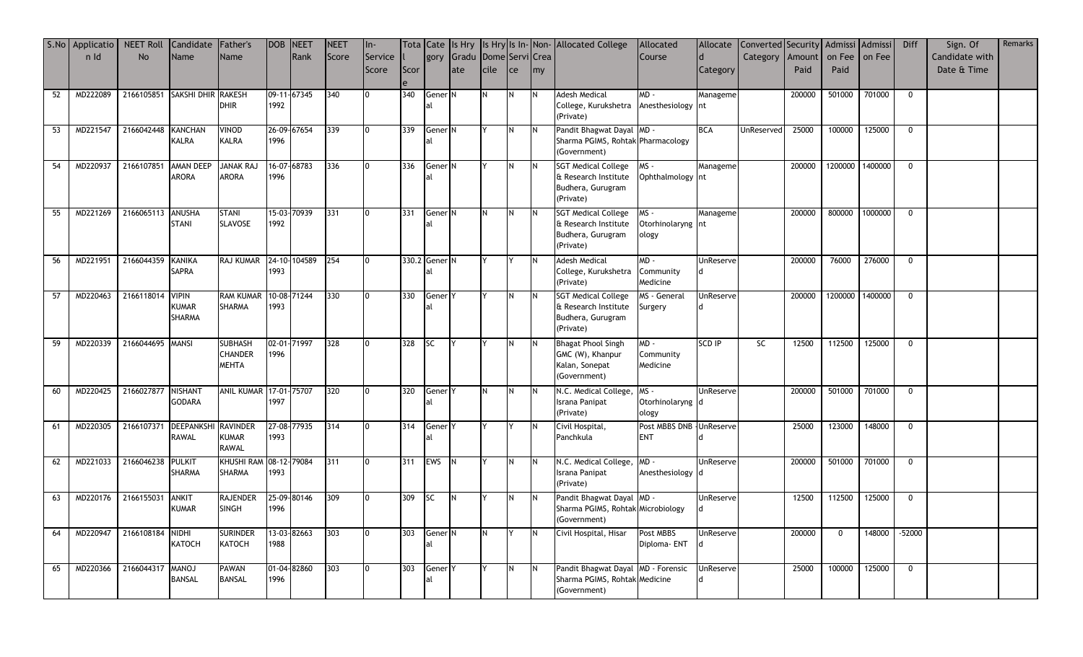|    | S.No Applicatio | <b>NEET Roll</b>              | Candidate Father's            |                        | DOB NEET |             | <b>NEET</b> | $In-$          |      |                    |       |                 |     |     | Tota Cate Is Hry Is Hry Is In-Non-Allocated College | Allocated                 |                  | Allocate Converted Security Admissi Admissi |        |             |                 | Diff         | Sign. Of       | Remarks |
|----|-----------------|-------------------------------|-------------------------------|------------------------|----------|-------------|-------------|----------------|------|--------------------|-------|-----------------|-----|-----|-----------------------------------------------------|---------------------------|------------------|---------------------------------------------|--------|-------------|-----------------|--------------|----------------|---------|
|    | n Id            | <b>No</b>                     | <b>Name</b>                   | Name                   |          | Rank        | Score       | Service        |      | gory               | Gradu | Dome Servi Crea |     |     |                                                     | Course                    | $\mathsf{d}$     | Category   Amount   on Fee                  |        |             | on Fee          |              | Candidate with |         |
|    |                 |                               |                               |                        |          |             |             | Score          | Scor |                    | ate   | cile            | ce  | my  |                                                     |                           | Category         |                                             | Paid   | Paid        |                 |              | Date & Time    |         |
|    |                 |                               |                               |                        |          |             |             |                |      |                    |       |                 |     |     |                                                     |                           |                  |                                             |        |             |                 |              |                |         |
| 52 | MD222089        | 2166105851 SAKSHI DHIR RAKESH |                               |                        |          | 09-11-67345 | 340         |                | 340  | Gener <sup>N</sup> |       |                 | IN. | IN. | <b>Adesh Medical</b>                                | $MD -$                    | Manageme         |                                             | 200000 | 501000      | 701000          | $\mathbf 0$  |                |         |
|    |                 |                               |                               | <b>DHIR</b>            | 1992     |             |             |                |      | al                 |       |                 |     |     | College, Kurukshetra Anesthesiology Int             |                           |                  |                                             |        |             |                 |              |                |         |
|    |                 |                               |                               |                        |          |             |             |                |      |                    |       |                 |     |     | (Private)                                           |                           |                  |                                             |        |             |                 |              |                |         |
| 53 | MD221547        | 2166042448                    | <b>KANCHAN</b>                | VINOD                  |          | 26-09-67654 | 339         |                | 339  | Gener <sup>N</sup> |       |                 |     |     | Pandit Bhagwat Dayal MD -                           |                           | <b>BCA</b>       | UnReserved                                  | 25000  |             | 100000 125000   | $\mathbf 0$  |                |         |
|    |                 |                               | KALRA                         | KALRA                  | 1996     |             |             |                |      | al                 |       |                 |     |     | Sharma PGIMS, Rohtak Pharmacology                   |                           |                  |                                             |        |             |                 |              |                |         |
|    |                 |                               |                               |                        |          |             |             |                |      |                    |       |                 |     |     | (Government)                                        |                           |                  |                                             |        |             |                 |              |                |         |
| 54 | MD220937        | 2166107851                    | AMAN DEEP                     | <b>JANAK RAJ</b>       |          | 16-07-68783 | 336         | $\overline{0}$ | 336  | Gener <sup>N</sup> |       |                 | IN. | IN. | <b>SGT Medical College</b>                          | MS-                       | Manageme         |                                             | 200000 |             | 1200000 1400000 | $\Omega$     |                |         |
|    |                 |                               | <b>ARORA</b>                  | <b>ARORA</b>           | 1996     |             |             |                |      |                    |       |                 |     |     | & Research Institute                                | Ophthalmology nt          |                  |                                             |        |             |                 |              |                |         |
|    |                 |                               |                               |                        |          |             |             |                |      |                    |       |                 |     |     | Budhera, Gurugram                                   |                           |                  |                                             |        |             |                 |              |                |         |
|    |                 |                               |                               |                        |          |             |             |                |      |                    |       |                 |     |     | (Private)                                           |                           |                  |                                             |        |             |                 |              |                |         |
| 55 | MD221269        | 2166065113 ANUSHA             |                               | <b>STANI</b>           |          | 15-03-70939 | 331         |                | 331  | Gener <sup>N</sup> |       |                 |     |     | <b>SGT Medical College</b>                          | MS-                       | Manageme         |                                             | 200000 |             | 800000 1000000  | $\mathbf 0$  |                |         |
|    |                 |                               | <b>STANI</b>                  | SLAVOSE                | 1992     |             |             |                |      |                    |       |                 |     |     | & Research Institute                                | Otorhinolaryng nt         |                  |                                             |        |             |                 |              |                |         |
|    |                 |                               |                               |                        |          |             |             |                |      |                    |       |                 |     |     | Budhera, Gurugram                                   | ology                     |                  |                                             |        |             |                 |              |                |         |
|    |                 |                               |                               |                        |          |             |             |                |      |                    |       |                 |     |     | (Private)                                           |                           |                  |                                             |        |             |                 |              |                |         |
| 56 | MD221951        | 2166044359 KANIKA             |                               | RAJ KUMAR 24-10-104589 |          |             | 254         | Io.            |      | 330.2 Gener N      |       |                 |     |     | <b>Adesh Medical</b>                                | $MD -$                    | UnReserve        |                                             | 200000 | 76000       | 276000          | $\mathbf 0$  |                |         |
|    |                 |                               | <b>SAPRA</b>                  |                        | 1993     |             |             |                |      | al                 |       |                 |     |     | College, Kurukshetra                                | Community                 |                  |                                             |        |             |                 |              |                |         |
|    |                 |                               |                               |                        |          |             |             |                |      |                    |       |                 |     |     | (Private)                                           | Medicine                  |                  |                                             |        |             |                 |              |                |         |
| 57 | MD220463        | 2166118014                    | <b>VIPIN</b>                  | RAM KUMAR 10-08-71244  |          |             | 330         |                | 330  | Gener <sub>Y</sub> |       |                 |     | IN. | <b>SGT Medical College</b>                          | MS - General              | UnReserve        |                                             | 200000 |             | 1200000 1400000 | $\mathbf 0$  |                |         |
|    |                 |                               | <b>KUMAR</b><br><b>SHARMA</b> | SHARMA                 | 1993     |             |             |                |      | al                 |       |                 |     |     | & Research Institute<br>Budhera, Gurugram           | Surgery                   |                  |                                             |        |             |                 |              |                |         |
|    |                 |                               |                               |                        |          |             |             |                |      |                    |       |                 |     |     | (Private)                                           |                           |                  |                                             |        |             |                 |              |                |         |
| 59 |                 | 2166044695 MANSI              |                               | <b>SUBHASH</b>         |          | 02-01-71997 |             | 0              | 328  |                    | IY.   |                 |     | IN. | <b>Bhagat Phool Singh</b>                           | $MD -$                    | <b>SCD IP</b>    | SC                                          | 12500  | 112500      | 125000          | $\mathbf{0}$ |                |         |
|    | MD220339        |                               |                               | CHANDER                | 1996     |             | 328         |                |      | <b>SC</b>          |       |                 |     |     | GMC (W), Khanpur                                    | Community                 |                  |                                             |        |             |                 |              |                |         |
|    |                 |                               |                               | <b>MEHTA</b>           |          |             |             |                |      |                    |       |                 |     |     | Kalan, Sonepat                                      | Medicine                  |                  |                                             |        |             |                 |              |                |         |
|    |                 |                               |                               |                        |          |             |             |                |      |                    |       |                 |     |     | (Government)                                        |                           |                  |                                             |        |             |                 |              |                |         |
| 60 | MD220425        | 2166027877 NISHANT            |                               | ANIL KUMAR 17-01-75707 |          |             | 320         | 0              | 320  | Gener <sub>Y</sub> |       | IN.             | IN. |     | N.C. Medical College,                               | MS-                       | <b>UnReserve</b> |                                             | 200000 |             | 501000 701000   | $\mathbf{0}$ |                |         |
|    |                 |                               | <b>GODARA</b>                 |                        | 1997     |             |             |                |      |                    |       |                 |     |     | Israna Panipat                                      | Otorhinolaryng d          |                  |                                             |        |             |                 |              |                |         |
|    |                 |                               |                               |                        |          |             |             |                |      |                    |       |                 |     |     | (Private)                                           | ology                     |                  |                                             |        |             |                 |              |                |         |
| 61 | MD220305        | 2166107371                    | <b>DEEPANKSHI</b>             | <b>RAVINDER</b>        |          | 27-08-77935 | 314         | I0             | 314  | Gener <sub>Y</sub> |       |                 |     | IN. | Civil Hospital,                                     | Post MBBS DNB - UnReserve |                  |                                             | 25000  | 123000      | 148000          | $\mathbf 0$  |                |         |
|    |                 |                               | <b>RAWAL</b>                  | <b>KUMAR</b>           | 1993     |             |             |                |      | al                 |       |                 |     |     | Panchkula                                           | <b>ENT</b>                |                  |                                             |        |             |                 |              |                |         |
|    |                 |                               |                               | <b>RAWAL</b>           |          |             |             |                |      |                    |       |                 |     |     |                                                     |                           |                  |                                             |        |             |                 |              |                |         |
| 62 | MD221033        | 2166046238                    | <b>PULKIT</b>                 | KHUSHI RAM 08-12-79084 |          |             | 311         | 0              | 311  | EWS N              |       |                 | IN. | IN. | N.C. Medical College,                               | MD-                       | UnReserve        |                                             | 200000 |             | 501000 701000   | $\mathbf 0$  |                |         |
|    |                 |                               | <b>SHARMA</b>                 | SHARMA                 | 1993     |             |             |                |      |                    |       |                 |     |     | Israna Panipat                                      | Anesthesiology d          |                  |                                             |        |             |                 |              |                |         |
|    |                 |                               |                               |                        |          |             |             |                |      |                    |       |                 |     |     | (Private)                                           |                           |                  |                                             |        |             |                 |              |                |         |
| 63 | MD220176        | 2166155031                    | <b>ANKIT</b>                  | <b>RAJENDER</b>        |          | 25-09-80146 | 309         | Io.            | 309  | <b>SC</b>          | IN.   |                 |     |     | Pandit Bhagwat Dayal MD -                           |                           | UnReserve        |                                             | 12500  |             | 112500 125000   | $\mathbf 0$  |                |         |
|    |                 |                               | <b>KUMAR</b>                  | SINGH                  | 1996     |             |             |                |      |                    |       |                 |     |     | Sharma PGIMS, Rohtak Microbiology                   |                           |                  |                                             |        |             |                 |              |                |         |
|    |                 |                               |                               |                        |          |             |             |                |      |                    |       |                 |     |     | (Government)                                        |                           |                  |                                             |        |             |                 |              |                |         |
| 64 | MD220947        | 2166108184                    | NIDHI                         | <b>SURINDER</b>        |          | 13-03-82663 | 303         | 0              | 303  | Gener <sub>N</sub> |       | IN.             |     | IN. | Civil Hospital, Hisar                               | Post MBBS                 | UnReserve        |                                             | 200000 | $\mathbf 0$ | 148000 -52000   |              |                |         |
|    |                 |                               | КАТОСН                        | KATOCH                 | 1988     |             |             |                |      | al                 |       |                 |     |     |                                                     | Diploma- ENT              |                  |                                             |        |             |                 |              |                |         |
|    |                 |                               |                               |                        |          |             |             |                |      |                    |       |                 |     |     |                                                     |                           |                  |                                             |        |             |                 |              |                |         |
| 65 | MD220366        | 2166044317                    | <b>LONAM</b>                  | <b>PAWAN</b>           |          | 01-04-82860 | 303         | l0             | 303  | Gener <sub>Y</sub> |       |                 |     | IN. | Pandit Bhagwat Dayal MD - Forensic                  |                           | UnReserve        |                                             | 25000  | 100000      | 125000          | $\mathbf{0}$ |                |         |
|    |                 |                               | <b>BANSAL</b>                 | <b>BANSAL</b>          | 1996     |             |             |                |      | al                 |       |                 |     |     | Sharma PGIMS, Rohtak Medicine                       |                           |                  |                                             |        |             |                 |              |                |         |
|    |                 |                               |                               |                        |          |             |             |                |      |                    |       |                 |     |     | (Government)                                        |                           |                  |                                             |        |             |                 |              |                |         |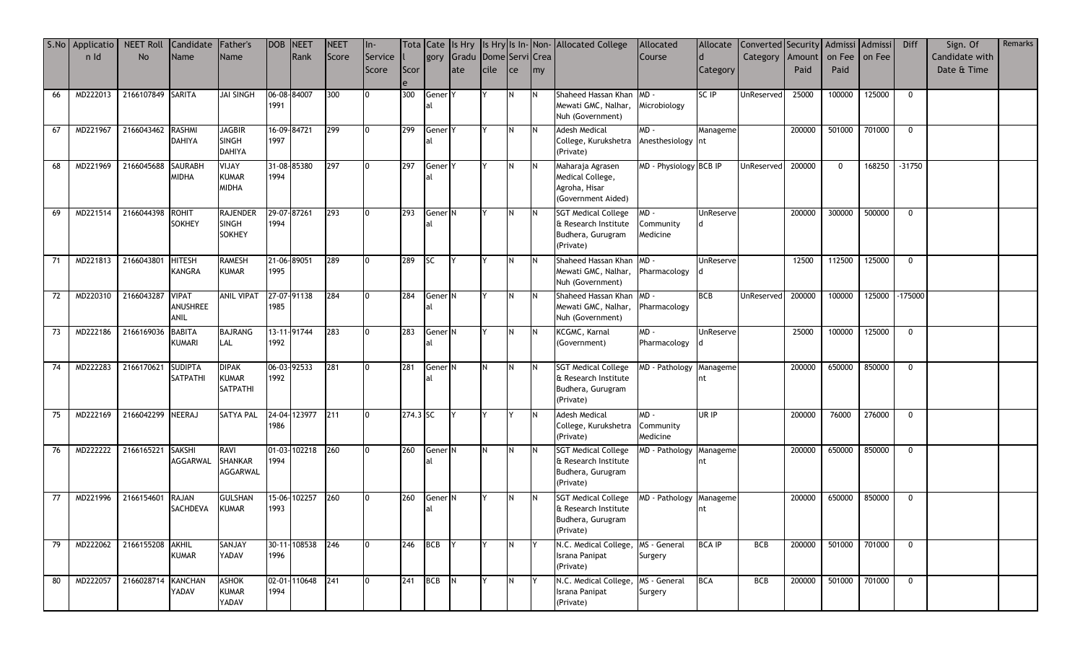|    | S.No Applicatio | <b>NEET Roll</b>   | Candidate Father's |                   | DOB NEET    |                  | NEET  | $\ln$          |          |                    |                            |               |            |     | Tota Cate Is Hry Is Hry Is In-Non-Allocated College | Allocated               |               | Allocate Converted Security Admissi Admissi |        |             |                | Diff         | Sign. Of       | Remarks |
|----|-----------------|--------------------|--------------------|-------------------|-------------|------------------|-------|----------------|----------|--------------------|----------------------------|---------------|------------|-----|-----------------------------------------------------|-------------------------|---------------|---------------------------------------------|--------|-------------|----------------|--------------|----------------|---------|
|    | n Id            | <b>No</b>          | Name               | Name              |             | Rank             | Score | Service        |          |                    | gory Gradu Dome Servi Crea |               |            |     |                                                     | Course                  |               | Category Amount on Fee on Fee               |        |             |                |              | Candidate with |         |
|    |                 |                    |                    |                   |             |                  |       | Score          | Scor     |                    | late                       | <b>I</b> cile | <b>Ice</b> | my  |                                                     |                         | Category      |                                             | Paid   | Paid        |                |              | Date & Time    |         |
|    |                 |                    |                    |                   |             |                  |       |                |          |                    |                            |               |            |     |                                                     |                         |               |                                             |        |             |                |              |                |         |
| 66 | MD222013        | 2166107849 SARITA  |                    | <b>JAI SINGH</b>  |             | 06-08-84007      | 300   | 10             | 300      | Gener <sub>Y</sub> |                            |               |            |     | Shaheed Hassan Khan                                 | $MD -$                  | SC IP         | UnReserved                                  | 25000  | 100000      | 125000         | $\mathbf 0$  |                |         |
|    |                 |                    |                    |                   | 1991        |                  |       |                |          |                    |                            |               |            |     | Mewati GMC, Nalhar,                                 | Microbiology            |               |                                             |        |             |                |              |                |         |
|    |                 |                    |                    |                   |             |                  |       |                |          |                    |                            |               |            |     | Nuh (Government)                                    |                         |               |                                             |        |             |                |              |                |         |
| 67 | MD221967        | 2166043462         | <b>RASHMI</b>      | <b>JAGBIR</b>     |             | 16-09-84721      | 299   |                | 299      | Gener <sup>Y</sup> |                            |               |            |     | <b>Adesh Medical</b>                                | $MD -$                  | Manageme      |                                             | 200000 | 501000      | 701000         | $\mathbf 0$  |                |         |
|    |                 |                    | <b>DAHIYA</b>      | <b>SINGH</b>      | 1997        |                  |       |                |          | al                 |                            |               |            |     | College, Kurukshetra                                | Anesthesiology nt       |               |                                             |        |             |                |              |                |         |
|    |                 |                    |                    | <b>DAHIYA</b>     |             |                  |       |                |          |                    |                            |               |            |     | (Private)                                           |                         |               |                                             |        |             |                |              |                |         |
| 68 | MD221969        | 2166045688         | <b>SAURABH</b>     | YIJAY             |             | 31-08-85380      | 297   |                | 297      | Gener <sub>Y</sub> |                            |               |            |     | Maharaja Agrasen                                    | MD - Physiology BCB IP  |               | UnReserved                                  | 200000 | $\mathbf 0$ | 168250 -31750  |              |                |         |
|    |                 |                    | <b>MIDHA</b>       | <b>KUMAR</b>      | 1994        |                  |       |                |          | al                 |                            |               |            |     | Medical College,                                    |                         |               |                                             |        |             |                |              |                |         |
|    |                 |                    |                    | MIDHA             |             |                  |       |                |          |                    |                            |               |            |     | Agroha, Hisar                                       |                         |               |                                             |        |             |                |              |                |         |
|    |                 |                    |                    |                   |             |                  |       |                |          |                    |                            |               |            |     | (Government Aided)                                  |                         |               |                                             |        |             |                |              |                |         |
| 69 | MD221514        | 2166044398         | <b>ROHIT</b>       | <b>RAJENDER</b>   |             | 29-07-87261      | 293   | I0             | 293      | Gener <sup>N</sup> |                            |               |            |     | <b>SGT Medical College</b>                          | MD -                    | UnReserve     |                                             | 200000 | 300000      | 500000         | $\mathbf{0}$ |                |         |
|    |                 |                    | <b>SOKHEY</b>      | <b>SINGH</b>      | 1994        |                  |       |                |          | 'al                |                            |               |            |     | & Research Institute                                | Community               |               |                                             |        |             |                |              |                |         |
|    |                 |                    |                    | <b>SOKHEY</b>     |             |                  |       |                |          |                    |                            |               |            |     | Budhera, Gurugram                                   | Medicine                |               |                                             |        |             |                |              |                |         |
|    |                 |                    |                    |                   |             |                  |       |                |          |                    |                            |               |            |     | (Private)                                           |                         |               |                                             |        |             |                |              |                |         |
| 71 | MD221813        | 2166043801         | <b>HITESH</b>      | <b>RAMESH</b>     |             | 21-06-89051      | 289   | I0             | 289      | <b>SC</b>          | IY.                        |               |            |     | Shaheed Hassan Khan MD -                            |                         | UnReserve     |                                             | 12500  | 112500      | 125000         | $\mathbf{0}$ |                |         |
|    |                 |                    | <b>KANGRA</b>      | KUMAR             | 1995        |                  |       |                |          |                    |                            |               |            |     | Mewati GMC, Nalhar,                                 | Pharmacology            |               |                                             |        |             |                |              |                |         |
|    |                 |                    |                    |                   |             |                  |       |                |          |                    |                            |               |            |     | Nuh (Government)                                    |                         |               |                                             |        |             |                |              |                |         |
| 72 | MD220310        | 2166043287 VIPAT   |                    | <b>ANIL VIPAT</b> | 27-07-91138 |                  | 284   |                | 284      | Gener <sub>N</sub> |                            |               |            |     | Shaheed Hassan Khan MD -                            |                         | <b>BCB</b>    | UnReserved                                  | 200000 | 100000      | 125000 -175000 |              |                |         |
|    |                 |                    | ANUSHREE           |                   | 1985        |                  |       |                |          |                    |                            |               |            |     | Mewati GMC, Nalhar,                                 | Pharmacology            |               |                                             |        |             |                |              |                |         |
|    |                 |                    | ANIL               |                   |             |                  |       |                |          |                    |                            |               |            |     | Nuh (Government)                                    |                         |               |                                             |        |             |                |              |                |         |
| 73 | MD222186        | 2166169036         | <b>BABITA</b>      | <b>BAJRANG</b>    |             | 13-11-91744      | 283   | 10             | 283      | Gener <sup>N</sup> |                            |               |            | IN. | KCGMC, Karnal                                       | MD-                     | UnReserve     |                                             | 25000  | 100000      | 125000         | $\mathbf 0$  |                |         |
|    |                 |                    | KUMARI             | LAL               | 1992        |                  |       |                |          | al                 |                            |               |            |     | (Government)                                        | Pharmacology            |               |                                             |        |             |                |              |                |         |
|    |                 |                    |                    |                   |             |                  |       |                |          |                    |                            |               |            |     |                                                     |                         |               |                                             |        |             |                |              |                |         |
| 74 | MD222283        | 2166170621         | <b>SUDIPTA</b>     | <b>DIPAK</b>      | 06-03-92533 |                  | 281   | I0             | 281      | Gener <sup>N</sup> |                            | IN.           |            | IN. | <b>SGT Medical College</b>                          | MD - Pathology          | Manageme      |                                             | 200000 | 650000      | 850000         | $\mathbf{0}$ |                |         |
|    |                 |                    | SATPATHI           | <b>KUMAR</b>      | 1992        |                  |       |                |          |                    |                            |               |            |     | & Research Institute                                |                         |               |                                             |        |             |                |              |                |         |
|    |                 |                    |                    | <b>SATPATHI</b>   |             |                  |       |                |          |                    |                            |               |            |     | Budhera, Gurugram                                   |                         |               |                                             |        |             |                |              |                |         |
|    |                 |                    |                    |                   |             |                  |       |                |          |                    |                            |               |            |     | (Private)                                           |                         |               |                                             |        |             |                |              |                |         |
| 75 | MD222169        | 2166042299 NEERAJ  |                    | <b>SATYA PAL</b>  |             | 24-04-123977 211 |       | 10             | 274.3 SC |                    |                            |               |            |     | <b>Adesh Medical</b>                                | MD-                     | UR IP         |                                             | 200000 | 76000       | 276000         | $\mathbf 0$  |                |         |
|    |                 |                    |                    |                   | 1986        |                  |       |                |          |                    |                            |               |            |     | College, Kurukshetra                                | Community               |               |                                             |        |             |                |              |                |         |
|    |                 |                    |                    |                   |             |                  |       |                |          |                    |                            |               |            |     | (Private)                                           | Medicine                |               |                                             |        |             |                |              |                |         |
| 76 | MD222222        | 2166165221 SAKSHI  |                    | <b>RAVI</b>       |             | 01-03-102218 260 |       |                | 260      | Gener <sub>N</sub> |                            | IN.           |            |     | <b>SGT Medical College</b>                          | MD - Pathology Manageme |               |                                             | 200000 | 650000      | 850000         | $\mathbf 0$  |                |         |
|    |                 |                    | AGGARWAL           | SHANKAR           | 1994        |                  |       |                |          |                    |                            |               |            |     | & Research Institute                                |                         |               |                                             |        |             |                |              |                |         |
|    |                 |                    |                    | AGGARWAL          |             |                  |       |                |          |                    |                            |               |            |     | Budhera, Gurugram                                   |                         |               |                                             |        |             |                |              |                |         |
|    |                 |                    |                    |                   |             |                  |       |                |          |                    |                            |               |            |     | (Private)                                           |                         |               |                                             |        |             |                |              |                |         |
| 77 | MD221996        | 2166154601         | <b>RAJAN</b>       | <b>GULSHAN</b>    |             | 15-06-102257     | 260   |                | 260      | Gener <sup>N</sup> |                            |               |            |     | <b>SGT Medical College</b>                          | MD - Pathology          | Manageme      |                                             | 200000 | 650000      | 850000         | $\Omega$     |                |         |
|    |                 |                    | SACHDEVA           | <b>KUMAR</b>      | 1993        |                  |       |                |          | al                 |                            |               |            |     | & Research Institute                                |                         | nt            |                                             |        |             |                |              |                |         |
|    |                 |                    |                    |                   |             |                  |       |                |          |                    |                            |               |            |     | Budhera, Gurugram                                   |                         |               |                                             |        |             |                |              |                |         |
|    |                 |                    |                    |                   |             |                  |       |                |          |                    |                            |               |            |     | (Private)                                           |                         |               |                                             |        |             |                |              |                |         |
| 79 | MD222062        | 2166155208 AKHIL   |                    | SANJAY            |             | 30-11-108538 246 |       | $\overline{0}$ |          | 246 BCB Y          |                            |               |            |     | N.C. Medical College, MS - General                  |                         | <b>BCA IP</b> | BCB                                         | 200000 | 501000      | 701000         | $\mathbf{0}$ |                |         |
|    |                 |                    | <b>KUMAR</b>       | YADAV             | 1996        |                  |       |                |          |                    |                            |               |            |     | Israna Panipat                                      | Surgery                 |               |                                             |        |             |                |              |                |         |
|    |                 |                    |                    |                   |             |                  |       |                |          |                    |                            |               |            |     | (Private)                                           |                         |               |                                             |        |             |                |              |                |         |
| 80 | MD222057        | 2166028714 KANCHAN |                    | <b>ASHOK</b>      |             | 02-01-110648 241 |       | I0.            | 241      | BCB N              |                            |               |            |     | N.C. Medical College,                               | MS - General            | <b>BCA</b>    | <b>BCB</b>                                  | 200000 |             | 501000 701000  | $\mathbf 0$  |                |         |
|    |                 |                    | YADAV              | <b>KUMAR</b>      | 1994        |                  |       |                |          |                    |                            |               |            |     | Israna Panipat                                      | Surgery                 |               |                                             |        |             |                |              |                |         |
|    |                 |                    |                    | YADAV             |             |                  |       |                |          |                    |                            |               |            |     | (Private)                                           |                         |               |                                             |        |             |                |              |                |         |